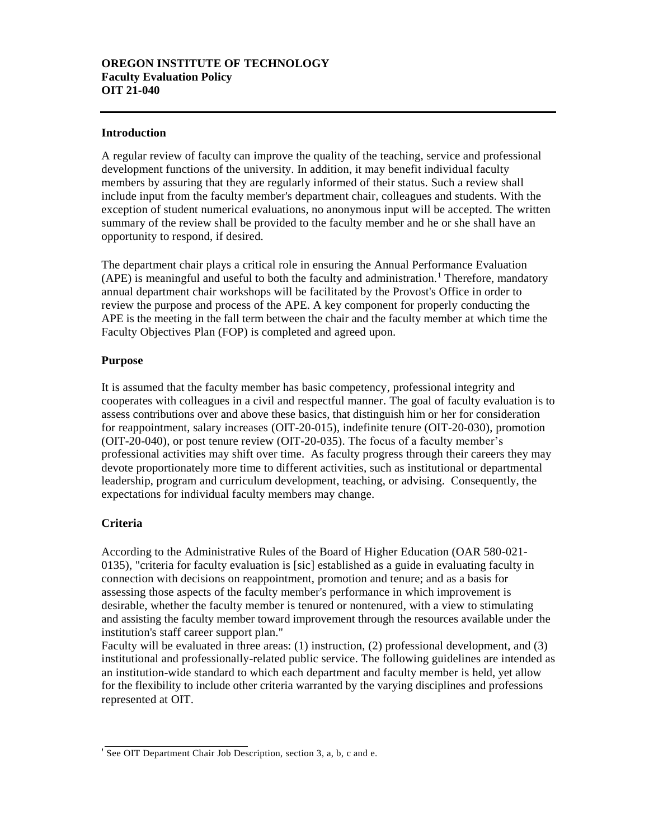#### **Introduction**

A regular review of faculty can improve the quality of the teaching, service and professional development functions of the university. In addition, it may benefit individual faculty members by assuring that they are regularly informed of their status. Such a review shall include input from the faculty member's department chair, colleagues and students. With the exception of student numerical evaluations, no anonymous input will be accepted. The written summary of the review shall be provided to the faculty member and he or she shall have an opportunity to respond, if desired.

The department chair plays a critical role in ensuring the Annual Performance Evaluation  $(APE)$  is meaningful and useful to both the faculty and administration.<sup>1</sup> Therefore, mandatory annual department chair workshops will be facilitated by the Provost's Office in order to review the purpose and process of the APE. A key component for properly conducting the APE is the meeting in the fall term between the chair and the faculty member at which time the Faculty Objectives Plan (FOP) is completed and agreed upon.

#### **Purpose**

It is assumed that the faculty member has basic competency, professional integrity and cooperates with colleagues in a civil and respectful manner. The goal of faculty evaluation is to assess contributions over and above these basics, that distinguish him or her for consideration for reappointment, salary increases (OIT-20-015), indefinite tenure (OIT-20-030), promotion (OIT-20-040), or post tenure review (OIT-20-035). The focus of a faculty member's professional activities may shift over time. As faculty progress through their careers they may devote proportionately more time to different activities, such as institutional or departmental leadership, program and curriculum development, teaching, or advising. Consequently, the expectations for individual faculty members may change.

## **Criteria**

According to the Administrative Rules of the Board of Higher Education (OAR 580-021- 0135), "criteria for faculty evaluation is [sic] established as a guide in evaluating faculty in connection with decisions on reappointment, promotion and tenure; and as a basis for assessing those aspects of the faculty member's performance in which improvement is desirable, whether the faculty member is tenured or nontenured, with a view to stimulating and assisting the faculty member toward improvement through the resources available under the institution's staff career support plan."

Faculty will be evaluated in three areas: (1) instruction, (2) professional development, and (3) institutional and professionally-related public service. The following guidelines are intended as an institution-wide standard to which each department and faculty member is held, yet allow for the flexibility to include other criteria warranted by the varying disciplines and professions represented at OIT.

<sup>&#</sup>x27; See OIT Department Chair Job Description, section 3, a, b, c and e.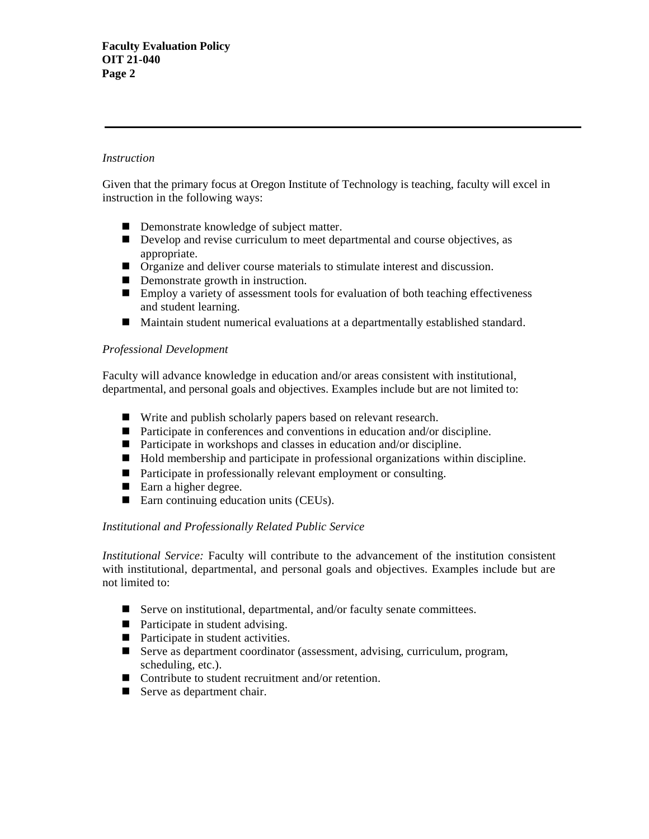# *Instruction*

Given that the primary focus at Oregon Institute of Technology is teaching, faculty will excel in instruction in the following ways:

- Demonstrate knowledge of subject matter.
- Develop and revise curriculum to meet departmental and course objectives, as appropriate.
- Organize and deliver course materials to stimulate interest and discussion.
- Demonstrate growth in instruction.
- Employ a variety of assessment tools for evaluation of both teaching effectiveness and student learning.
- Maintain student numerical evaluations at a departmentally established standard.

## *Professional Development*

Faculty will advance knowledge in education and/or areas consistent with institutional, departmental, and personal goals and objectives. Examples include but are not limited to:

- Write and publish scholarly papers based on relevant research.
- Participate in conferences and conventions in education and/or discipline.
- Participate in workshops and classes in education and/or discipline.
- Hold membership and participate in professional organizations within discipline.
- Participate in professionally relevant employment or consulting.
- Earn a higher degree.
- Earn continuing education units (CEUs).

## *Institutional and Professionally Related Public Service*

*Institutional Service:* Faculty will contribute to the advancement of the institution consistent with institutional, departmental, and personal goals and objectives. Examples include but are not limited to:

- Serve on institutional, departmental, and/or faculty senate committees.
- Participate in student advising.
- Participate in student activities.
- Serve as department coordinator (assessment, advising, curriculum, program, scheduling, etc.).
- Contribute to student recruitment and/or retention.
- Serve as department chair.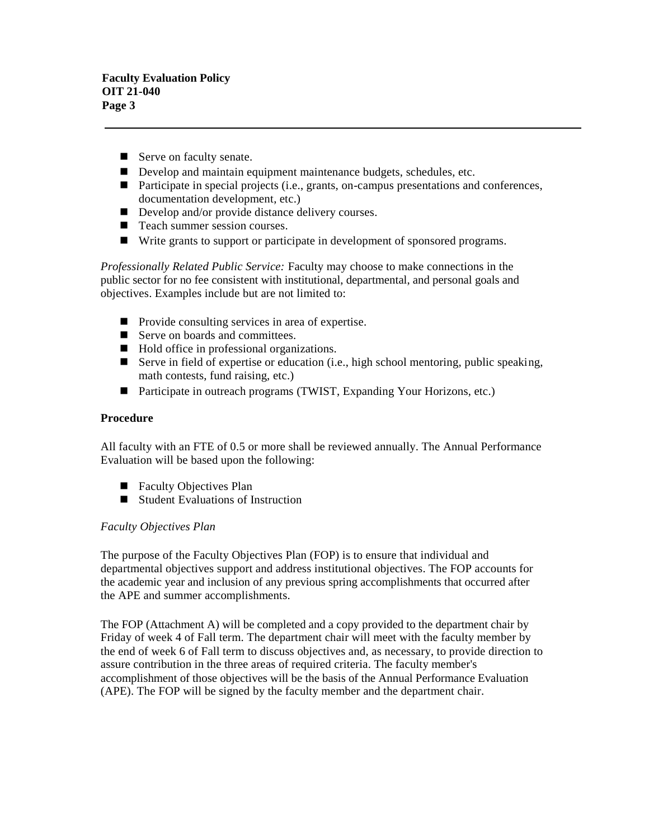**Faculty Evaluation Policy OIT 21-040 Page 3**

- Serve on faculty senate.
- Develop and maintain equipment maintenance budgets, schedules, etc.
- **Participate in special projects (i.e., grants, on-campus presentations and conferences,** documentation development, etc.)
- Develop and/or provide distance delivery courses.
- Teach summer session courses.
- Write grants to support or participate in development of sponsored programs.

*Professionally Related Public Service:* Faculty may choose to make connections in the public sector for no fee consistent with institutional, departmental, and personal goals and objectives. Examples include but are not limited to:

- Provide consulting services in area of expertise.
- Serve on boards and committees.
- Hold office in professional organizations.
- Serve in field of expertise or education (i.e., high school mentoring, public speaking, math contests, fund raising, etc.)
- Participate in outreach programs (TWIST, Expanding Your Horizons, etc.)

## **Procedure**

All faculty with an FTE of 0.5 or more shall be reviewed annually. The Annual Performance Evaluation will be based upon the following:

- Faculty Objectives Plan
- Student Evaluations of Instruction

## *Faculty Objectives Plan*

The purpose of the Faculty Objectives Plan (FOP) is to ensure that individual and departmental objectives support and address institutional objectives. The FOP accounts for the academic year and inclusion of any previous spring accomplishments that occurred after the APE and summer accomplishments.

The FOP (Attachment A) will be completed and a copy provided to the department chair by Friday of week 4 of Fall term. The department chair will meet with the faculty member by the end of week 6 of Fall term to discuss objectives and, as necessary, to provide direction to assure contribution in the three areas of required criteria. The faculty member's accomplishment of those objectives will be the basis of the Annual Performance Evaluation (APE). The FOP will be signed by the faculty member and the department chair.